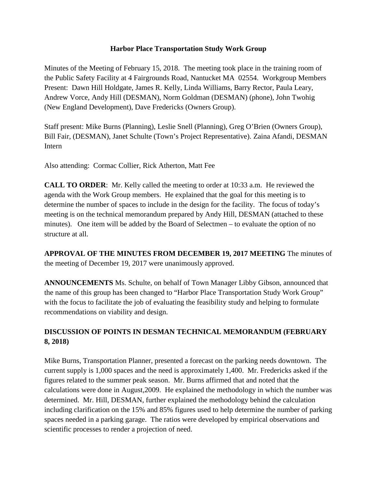## **Harbor Place Transportation Study Work Group**

Minutes of the Meeting of February 15, 2018. The meeting took place in the training room of the Public Safety Facility at 4 Fairgrounds Road, Nantucket MA 02554. Workgroup Members Present: Dawn Hill Holdgate, James R. Kelly, Linda Williams, Barry Rector, Paula Leary, Andrew Vorce, Andy Hill (DESMAN), Norm Goldman (DESMAN) (phone), John Twohig (New England Development), Dave Fredericks (Owners Group).

Staff present: Mike Burns (Planning), Leslie Snell (Planning), Greg O'Brien (Owners Group), Bill Fair, (DESMAN), Janet Schulte (Town's Project Representative). Zaina Afandi, DESMAN Intern

Also attending: Cormac Collier, Rick Atherton, Matt Fee

**CALL TO ORDER**: Mr. Kelly called the meeting to order at 10:33 a.m. He reviewed the agenda with the Work Group members. He explained that the goal for this meeting is to determine the number of spaces to include in the design for the facility. The focus of today's meeting is on the technical memorandum prepared by Andy Hill, DESMAN (attached to these minutes). One item will be added by the Board of Selectmen – to evaluate the option of no structure at all.

**APPROVAL OF THE MINUTES FROM DECEMBER 19, 2017 MEETING** The minutes of the meeting of December 19, 2017 were unanimously approved.

**ANNOUNCEMENTS** Ms. Schulte, on behalf of Town Manager Libby Gibson, announced that the name of this group has been changed to "Harbor Place Transportation Study Work Group" with the focus to facilitate the job of evaluating the feasibility study and helping to formulate recommendations on viability and design.

## **DISCUSSION OF POINTS IN DESMAN TECHNICAL MEMORANDUM (FEBRUARY 8, 2018)**

Mike Burns, Transportation Planner, presented a forecast on the parking needs downtown. The current supply is 1,000 spaces and the need is approximately 1,400. Mr. Fredericks asked if the figures related to the summer peak season. Mr. Burns affirmed that and noted that the calculations were done in August,2009. He explained the methodology in which the number was determined. Mr. Hill, DESMAN, further explained the methodology behind the calculation including clarification on the 15% and 85% figures used to help determine the number of parking spaces needed in a parking garage. The ratios were developed by empirical observations and scientific processes to render a projection of need.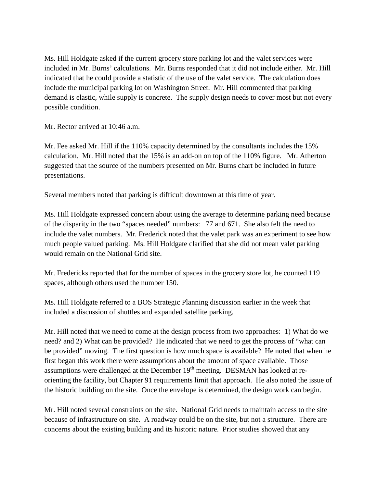Ms. Hill Holdgate asked if the current grocery store parking lot and the valet services were included in Mr. Burns' calculations. Mr. Burns responded that it did not include either. Mr. Hill indicated that he could provide a statistic of the use of the valet service. The calculation does include the municipal parking lot on Washington Street. Mr. Hill commented that parking demand is elastic, while supply is concrete. The supply design needs to cover most but not every possible condition.

Mr. Rector arrived at 10:46 a.m.

Mr. Fee asked Mr. Hill if the 110% capacity determined by the consultants includes the 15% calculation. Mr. Hill noted that the 15% is an add-on on top of the 110% figure. Mr. Atherton suggested that the source of the numbers presented on Mr. Burns chart be included in future presentations.

Several members noted that parking is difficult downtown at this time of year.

Ms. Hill Holdgate expressed concern about using the average to determine parking need because of the disparity in the two "spaces needed" numbers: 77 and 671. She also felt the need to include the valet numbers. Mr. Frederick noted that the valet park was an experiment to see how much people valued parking. Ms. Hill Holdgate clarified that she did not mean valet parking would remain on the National Grid site.

Mr. Fredericks reported that for the number of spaces in the grocery store lot, he counted 119 spaces, although others used the number 150.

Ms. Hill Holdgate referred to a BOS Strategic Planning discussion earlier in the week that included a discussion of shuttles and expanded satellite parking.

Mr. Hill noted that we need to come at the design process from two approaches: 1) What do we need? and 2) What can be provided? He indicated that we need to get the process of "what can be provided" moving. The first question is how much space is available? He noted that when he first began this work there were assumptions about the amount of space available. Those assumptions were challenged at the December  $19<sup>th</sup>$  meeting. DESMAN has looked at reorienting the facility, but Chapter 91 requirements limit that approach. He also noted the issue of the historic building on the site. Once the envelope is determined, the design work can begin.

Mr. Hill noted several constraints on the site. National Grid needs to maintain access to the site because of infrastructure on site. A roadway could be on the site, but not a structure. There are concerns about the existing building and its historic nature. Prior studies showed that any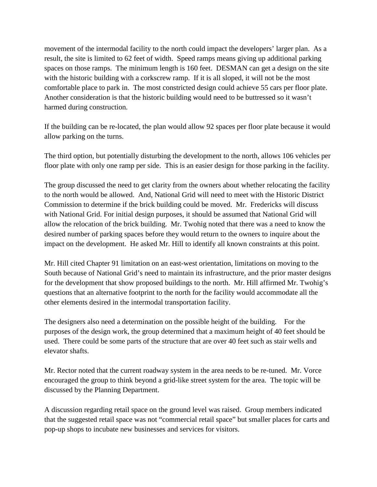movement of the intermodal facility to the north could impact the developers' larger plan. As a result, the site is limited to 62 feet of width. Speed ramps means giving up additional parking spaces on those ramps. The minimum length is 160 feet. DESMAN can get a design on the site with the historic building with a corkscrew ramp. If it is all sloped, it will not be the most comfortable place to park in. The most constricted design could achieve 55 cars per floor plate. Another consideration is that the historic building would need to be buttressed so it wasn't harmed during construction.

If the building can be re-located, the plan would allow 92 spaces per floor plate because it would allow parking on the turns.

The third option, but potentially disturbing the development to the north, allows 106 vehicles per floor plate with only one ramp per side. This is an easier design for those parking in the facility.

The group discussed the need to get clarity from the owners about whether relocating the facility to the north would be allowed. And, National Grid will need to meet with the Historic District Commission to determine if the brick building could be moved. Mr. Fredericks will discuss with National Grid. For initial design purposes, it should be assumed that National Grid will allow the relocation of the brick building. Mr. Twohig noted that there was a need to know the desired number of parking spaces before they would return to the owners to inquire about the impact on the development. He asked Mr. Hill to identify all known constraints at this point.

Mr. Hill cited Chapter 91 limitation on an east-west orientation, limitations on moving to the South because of National Grid's need to maintain its infrastructure, and the prior master designs for the development that show proposed buildings to the north. Mr. Hill affirmed Mr. Twohig's questions that an alternative footprint to the north for the facility would accommodate all the other elements desired in the intermodal transportation facility.

The designers also need a determination on the possible height of the building. For the purposes of the design work, the group determined that a maximum height of 40 feet should be used. There could be some parts of the structure that are over 40 feet such as stair wells and elevator shafts.

Mr. Rector noted that the current roadway system in the area needs to be re-tuned. Mr. Vorce encouraged the group to think beyond a grid-like street system for the area. The topic will be discussed by the Planning Department.

A discussion regarding retail space on the ground level was raised. Group members indicated that the suggested retail space was not "commercial retail space" but smaller places for carts and pop-up shops to incubate new businesses and services for visitors.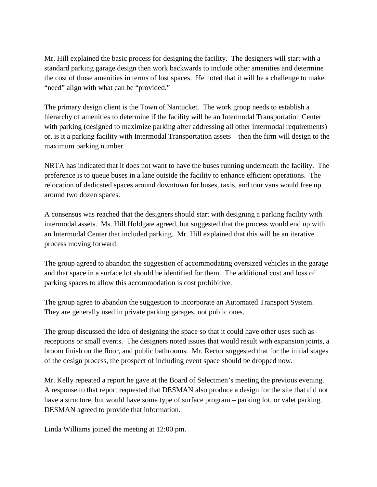Mr. Hill explained the basic process for designing the facility. The designers will start with a standard parking garage design then work backwards to include other amenities and determine the cost of those amenities in terms of lost spaces. He noted that it will be a challenge to make "need" align with what can be "provided."

The primary design client is the Town of Nantucket. The work group needs to establish a hierarchy of amenities to determine if the facility will be an Intermodal Transportation Center with parking (designed to maximize parking after addressing all other intermodal requirements) or, is it a parking facility with Intermodal Transportation assets – then the firm will design to the maximum parking number.

NRTA has indicated that it does not want to have the buses running underneath the facility. The preference is to queue buses in a lane outside the facility to enhance efficient operations. The relocation of dedicated spaces around downtown for buses, taxis, and tour vans would free up around two dozen spaces.

A consensus was reached that the designers should start with designing a parking facility with intermodal assets. Ms. Hill Holdgate agreed, but suggested that the process would end up with an Intermodal Center that included parking. Mr. Hill explained that this will be an iterative process moving forward.

The group agreed to abandon the suggestion of accommodating oversized vehicles in the garage and that space in a surface lot should be identified for them. The additional cost and loss of parking spaces to allow this accommodation is cost prohibitive.

The group agree to abandon the suggestion to incorporate an Automated Transport System. They are generally used in private parking garages, not public ones.

The group discussed the idea of designing the space so that it could have other uses such as receptions or small events. The designers noted issues that would result with expansion joints, a broom finish on the floor, and public bathrooms. Mr. Rector suggested that for the initial stages of the design process, the prospect of including event space should be dropped now.

Mr. Kelly repeated a report he gave at the Board of Selectmen's meeting the previous evening. A response to that report requested that DESMAN also produce a design for the site that did not have a structure, but would have some type of surface program – parking lot, or valet parking. DESMAN agreed to provide that information.

Linda Williams joined the meeting at 12:00 pm.